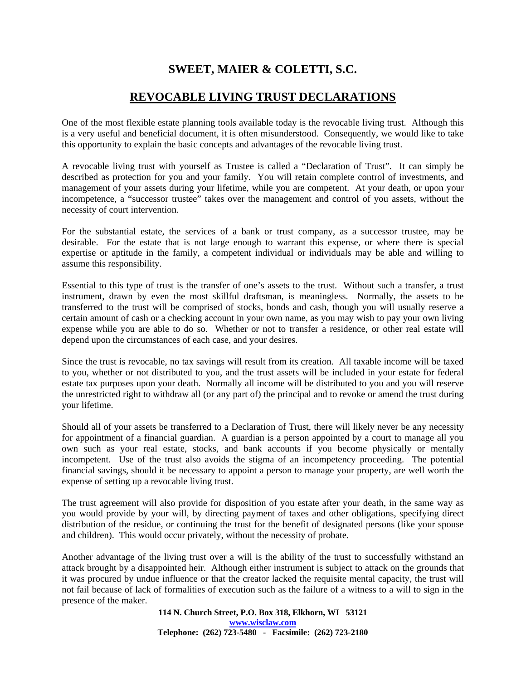## **SWEET, MAIER & COLETTI, S.C.**

## **REVOCABLE LIVING TRUST DECLARATIONS**

One of the most flexible estate planning tools available today is the revocable living trust. Although this is a very useful and beneficial document, it is often misunderstood. Consequently, we would like to take this opportunity to explain the basic concepts and advantages of the revocable living trust.

A revocable living trust with yourself as Trustee is called a "Declaration of Trust". It can simply be described as protection for you and your family. You will retain complete control of investments, and management of your assets during your lifetime, while you are competent. At your death, or upon your incompetence, a "successor trustee" takes over the management and control of you assets, without the necessity of court intervention.

For the substantial estate, the services of a bank or trust company, as a successor trustee, may be desirable. For the estate that is not large enough to warrant this expense, or where there is special expertise or aptitude in the family, a competent individual or individuals may be able and willing to assume this responsibility.

Essential to this type of trust is the transfer of one's assets to the trust. Without such a transfer, a trust instrument, drawn by even the most skillful draftsman, is meaningless. Normally, the assets to be transferred to the trust will be comprised of stocks, bonds and cash, though you will usually reserve a certain amount of cash or a checking account in your own name, as you may wish to pay your own living expense while you are able to do so. Whether or not to transfer a residence, or other real estate will depend upon the circumstances of each case, and your desires.

Since the trust is revocable, no tax savings will result from its creation. All taxable income will be taxed to you, whether or not distributed to you, and the trust assets will be included in your estate for federal estate tax purposes upon your death. Normally all income will be distributed to you and you will reserve the unrestricted right to withdraw all (or any part of) the principal and to revoke or amend the trust during your lifetime.

Should all of your assets be transferred to a Declaration of Trust, there will likely never be any necessity for appointment of a financial guardian. A guardian is a person appointed by a court to manage all you own such as your real estate, stocks, and bank accounts if you become physically or mentally incompetent. Use of the trust also avoids the stigma of an incompetency proceeding. The potential financial savings, should it be necessary to appoint a person to manage your property, are well worth the expense of setting up a revocable living trust.

The trust agreement will also provide for disposition of you estate after your death, in the same way as you would provide by your will, by directing payment of taxes and other obligations, specifying direct distribution of the residue, or continuing the trust for the benefit of designated persons (like your spouse and children). This would occur privately, without the necessity of probate.

Another advantage of the living trust over a will is the ability of the trust to successfully withstand an attack brought by a disappointed heir. Although either instrument is subject to attack on the grounds that it was procured by undue influence or that the creator lacked the requisite mental capacity, the trust will not fail because of lack of formalities of execution such as the failure of a witness to a will to sign in the presence of the maker.

> **114 N. Church Street, P.O. Box 318, Elkhorn, WI 53121 www.wisclaw.com Telephone: (262) 723-5480 - Facsimile: (262) 723-2180**